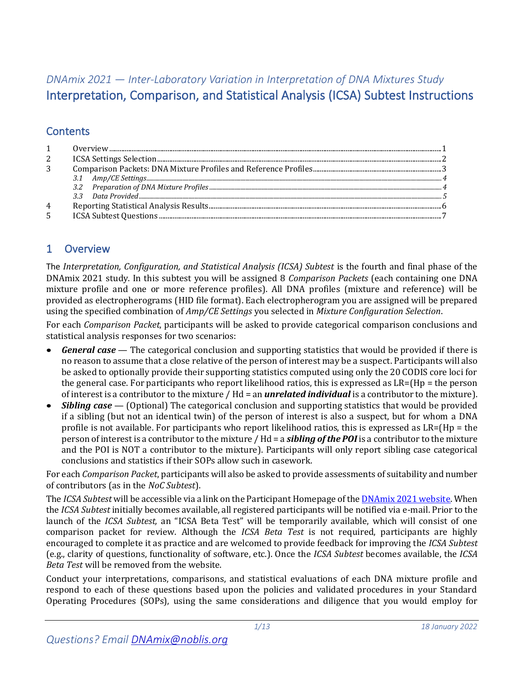# *DNAmix 2021 — Inter-Laboratory Variation in Interpretation of DNA Mixtures Study* Interpretation, Comparison, and Statistical Analysis (ICSA) Subtest Instructions

# **Contents**

|   | $\begin{minipage}{.4\linewidth} \textbf{Overview} \textbf{} \textbf{} \textbf{} \textbf{} \textbf{} \textbf{} \textbf{} \textbf{} \textbf{} \textbf{} \textbf{} \textbf{} \textbf{} \textbf{} \textbf{} \textbf{} \textbf{} \textbf{} \textbf{} \textbf{} \textbf{} \textbf{} \textbf{} \textbf{} \textbf{} \textbf{} \textbf{} \textbf{} \textbf{} \textbf{} \textbf{} \textbf{} \textbf{} \text$ |  |
|---|----------------------------------------------------------------------------------------------------------------------------------------------------------------------------------------------------------------------------------------------------------------------------------------------------------------------------------------------------------------------------------------------------|--|
| 2 |                                                                                                                                                                                                                                                                                                                                                                                                    |  |
| 3 |                                                                                                                                                                                                                                                                                                                                                                                                    |  |
|   |                                                                                                                                                                                                                                                                                                                                                                                                    |  |
|   | 32                                                                                                                                                                                                                                                                                                                                                                                                 |  |
|   |                                                                                                                                                                                                                                                                                                                                                                                                    |  |
| 4 |                                                                                                                                                                                                                                                                                                                                                                                                    |  |
|   |                                                                                                                                                                                                                                                                                                                                                                                                    |  |

## <span id="page-0-0"></span>1 Overview

The *Interpretation, Configuration, and Statistical Analysis (ICSA) Subtest* is the fourth and final phase of the DNAmix 2021 study. In this subtest you will be assigned 8 *Comparison Packets* (each containing one DNA mixture profile and one or more reference profiles). All DNA profiles (mixture and reference) will be provided as electropherograms (HID file format). Each electropherogram you are assigned will be prepared using the specified combination of *Amp/CE Settings* you selected in *Mixture Configuration Selection*.

For each *Comparison Packet*, participants will be asked to provide categorical comparison conclusions and statistical analysis responses for two scenarios:

- *General case* The categorical conclusion and supporting statistics that would be provided if there is no reason to assume that a close relative of the person of interest may be a suspect. Participants will also be asked to optionally provide their supporting statistics computed using only the 20 CODIS core loci for the general case. For participants who report likelihood ratios, this is expressed as LR=(Hp = the person of interest is a contributor to the mixture / Hd = an *unrelated individual* is a contributor to the mixture).
- *Sibling case* (Optional) The categorical conclusion and supporting statistics that would be provided if a sibling (but not an identical twin) of the person of interest is also a suspect, but for whom a DNA profile is not available. For participants who report likelihood ratios, this is expressed as LR=(Hp = the person of interest is a contributor to the mixture / Hd = a *sibling of the POI* is a contributor to the mixture and the POI is NOT a contributor to the mixture). Participants will only report sibling case categorical conclusions and statistics if their SOPs allow such in casework.

For each *Comparison Packet*, participants will also be asked to provide assessments of suitability and number of contributors (as in the *NoC Subtest*).

The *ICSA Subtest* will be accessible via a link on the Participant Homepage of the DNAmix [2021 website.](https://dnamix.edgeaws.noblis.org/) When the *ICSA Subtest* initially becomes available, all registered participants will be notified via e-mail. Prior to the launch of the *ICSA Subtest,* an "ICSA Beta Test" will be temporarily available, which will consist of one comparison packet for review. Although the *ICSA Beta Test* is not required, participants are highly encouraged to complete it as practice and are welcomed to provide feedback for improving the *ICSA Subtest* (e.g., clarity of questions, functionality of software, etc.). Once the *ICSA Subtest* becomes available, the *ICSA Beta Test* will be removed from the website.

Conduct your interpretations, comparisons, and statistical evaluations of each DNA mixture profile and respond to each of these questions based upon the policies and validated procedures in your Standard Operating Procedures (SOPs), using the same considerations and diligence that you would employ for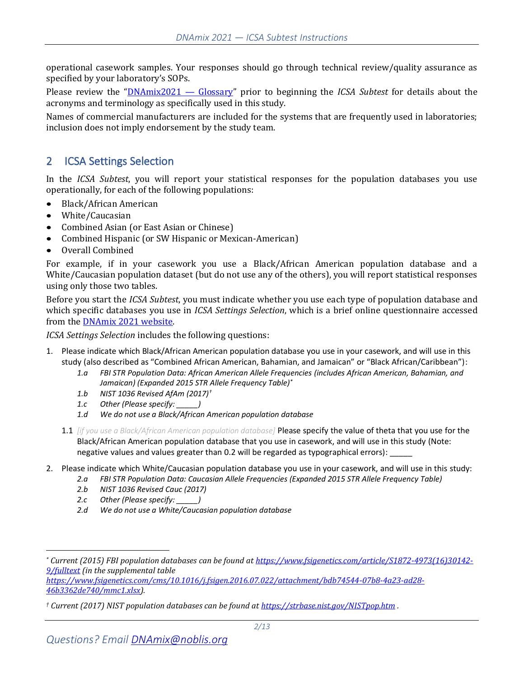operational casework samples. Your responses should go through technical review/quality assurance as specified by your laboratory's SOPs.

Please review the "[DNAmix2021](https://dnamix.edgeaws.noblis.org/DNAMix_Glossary.pdf) — Glossary" prior to beginning the *ICSA Subtest* for details about the acronyms and terminology as specifically used in this study.

Names of commercial manufacturers are included for the systems that are frequently used in laboratories; inclusion does not imply endorsement by the study team.

### <span id="page-1-0"></span>2 ICSA Settings Selection

In the *ICSA Subtest*, you will report your statistical responses for the population databases you use operationally, for each of the following populations:

- Black/African American
- White/Caucasian
- Combined Asian (or East Asian or Chinese)
- Combined Hispanic (or SW Hispanic or Mexican-American)
- Overall Combined

For example, if in your casework you use a Black/African American population database and a White/Caucasian population dataset (but do not use any of the others), you will report statistical responses using only those two tables.

Before you start the *ICSA Subtest*, you must indicate whether you use each type of population database and which specific databases you use in *ICSA Settings Selection*, which is a brief online questionnaire accessed from the DNAmix [2021 website.](https://dnamix.edgeaws.noblis.org/)

*ICSA Settings Selection* includes the following questions:

- 1. Please indicate which Black/African American population database you use in your casework, and will use in this study (also described as "Combined African American, Bahamian, and Jamaican" or "Black African/Caribbean"):
	- *1.a FBI STR Population Data: African American Allele Frequencies (includes African American, Bahamian, and Jamaican) (Expanded 2015 STR Allele Frequency Table)\**
	- *1.b NIST 1036 Revised AfAm (2017)†*
	- *1.c Other (Please specify: \_\_\_\_\_)*
	- *1.d We do not use a Black/African American population database*
	- 1.1 *[if you use a Black/African American population database]* Please specify the value of theta that you use for the Black/African American population database that you use in casework, and will use in this study (Note: negative values and values greater than 0.2 will be regarded as typographical errors):
- 2. Please indicate which White/Caucasian population database you use in your casework, and will use in this study:
	- *2.a FBI STR Population Data: Caucasian Allele Frequencies (Expanded 2015 STR Allele Frequency Table)*
	- *2.b NIST 1036 Revised Cauc (2017)*
	- *2.c Other (Please specify: \_\_\_\_\_)*
	- *2.d We do not use a White/Caucasian population database*

*[https://www.fsigenetics.com/cms/10.1016/j.fsigen.2016.07.022/attachment/bdb74544-07b8-4a23-ad28-](https://www.fsigenetics.com/cms/10.1016/j.fsigen.2016.07.022/attachment/bdb74544-07b8-4a23-ad28-46b3362de740/mmc1.xlsx) [46b3362de740/mmc1.xlsx\)](https://www.fsigenetics.com/cms/10.1016/j.fsigen.2016.07.022/attachment/bdb74544-07b8-4a23-ad28-46b3362de740/mmc1.xlsx).*

*<sup>\*</sup> Current (2015) FBI population databases can be found a[t https://www.fsigenetics.com/article/S1872-4973\(16\)30142-](https://www.fsigenetics.com/article/S1872-4973(16)30142-9/fulltext) [9/fulltext](https://www.fsigenetics.com/article/S1872-4973(16)30142-9/fulltext) (in the supplemental table*

*<sup>†</sup> Current (2017) NIST population databases can be found at<https://strbase.nist.gov/NISTpop.htm> .*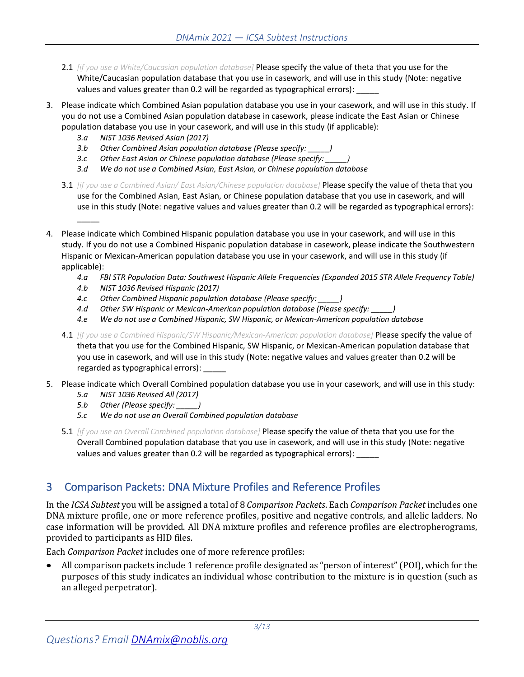- 2.1 *[if you use a White/Caucasian population database]* Please specify the value of theta that you use for the White/Caucasian population database that you use in casework, and will use in this study (Note: negative values and values greater than 0.2 will be regarded as typographical errors): \_
- 3. Please indicate which Combined Asian population database you use in your casework, and will use in this study. If you do not use a Combined Asian population database in casework, please indicate the East Asian or Chinese population database you use in your casework, and will use in this study (if applicable):
	- *3.a NIST 1036 Revised Asian (2017)*

 $\overline{\phantom{a}}$ 

- *3.b Other Combined Asian population database (Please specify: \_\_\_\_\_)*
- *3.c Other East Asian or Chinese population database (Please specify: \_\_\_\_\_)*
- *3.d We do not use a Combined Asian, East Asian, or Chinese population database*
- 3.1 *[if you use a Combined Asian/ East Asian/Chinese population database]* Please specify the value of theta that you use for the Combined Asian, East Asian, or Chinese population database that you use in casework, and will use in this study (Note: negative values and values greater than 0.2 will be regarded as typographical errors):
- 4. Please indicate which Combined Hispanic population database you use in your casework, and will use in this study. If you do not use a Combined Hispanic population database in casework, please indicate the Southwestern Hispanic or Mexican-American population database you use in your casework, and will use in this study (if applicable):
	- *4.a FBI STR Population Data: Southwest Hispanic Allele Frequencies (Expanded 2015 STR Allele Frequency Table)*
	- *4.b NIST 1036 Revised Hispanic (2017)*
	- *4.c Other Combined Hispanic population database (Please specify: \_\_\_\_\_)*
	- *4.d Other SW Hispanic or Mexican-American population database (Please specify: \_\_\_\_\_)*
	- *4.e We do not use a Combined Hispanic, SW Hispanic, or Mexican-American population database*
	- 4.1 *[if you use a Combined Hispanic/SW Hispanic/Mexican-American population database]* Please specify the value of theta that you use for the Combined Hispanic, SW Hispanic, or Mexican-American population database that you use in casework, and will use in this study (Note: negative values and values greater than 0.2 will be regarded as typographical errors):
- 5. Please indicate which Overall Combined population database you use in your casework, and will use in this study:
	- *5.a NIST 1036 Revised All (2017)*
	- *5.b Other (Please specify: \_\_\_\_\_)*
	- *5.c We do not use an Overall Combined population database*
	- 5.1 *[if you use an Overall Combined population database]* Please specify the value of theta that you use for the Overall Combined population database that you use in casework, and will use in this study (Note: negative values and values greater than 0.2 will be regarded as typographical errors):

## <span id="page-2-0"></span>3 Comparison Packets: DNA Mixture Profiles and Reference Profiles

In the *ICSA Subtest* you will be assigned a total of 8 *Comparison Packets*. Each *Comparison Packet* includes one DNA mixture profile, one or more reference profiles, positive and negative controls, and allelic ladders. No case information will be provided. All DNA mixture profiles and reference profiles are electropherograms, provided to participants as HID files.

Each *Comparison Packet* includes one of more reference profiles:

• All comparison packets include 1 reference profile designated as "person of interest" (POI), which for the purposes of this study indicates an individual whose contribution to the mixture is in question (such as an alleged perpetrator).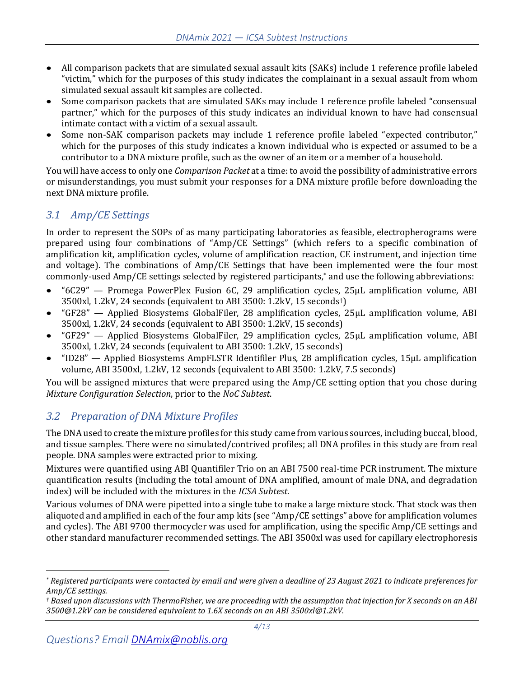- All comparison packets that are simulated sexual assault kits (SAKs) include 1 reference profile labeled "victim," which for the purposes of this study indicates the complainant in a sexual assault from whom simulated sexual assault kit samples are collected.
- Some comparison packets that are simulated SAKs may include 1 reference profile labeled "consensual partner," which for the purposes of this study indicates an individual known to have had consensual intimate contact with a victim of a sexual assault.
- Some non-SAK comparison packets may include 1 reference profile labeled "expected contributor," which for the purposes of this study indicates a known individual who is expected or assumed to be a contributor to a DNA mixture profile, such as the owner of an item or a member of a household.

You will have access to only one *Comparison Packet* at a time: to avoid the possibility of administrative errors or misunderstandings, you must submit your responses for a DNA mixture profile before downloading the next DNA mixture profile.

## <span id="page-3-0"></span>*3.1 Amp/CE Settings*

In order to represent the SOPs of as many participating laboratories as feasible, electropherograms were prepared using four combinations of "Amp/CE Settings" (which refers to a specific combination of amplification kit, amplification cycles, volume of amplification reaction, CE instrument, and injection time and voltage). The combinations of Amp/CE Settings that have been implemented were the four most commonly-used Amp/CE settings selected by registered participants, \* and use the following abbreviations:

- "6C29" Promega PowerPlex Fusion 6C, 29 amplification cycles, 25µL amplification volume, ABI 3500xl, 1.2kV, 24 seconds (equivalent to ABI 3500: 1.2kV, 15 seconds†)
- "GF28" Applied Biosystems GlobalFiler, 28 amplification cycles, 25µL amplification volume, ABI 3500xl, 1.2kV, 24 seconds (equivalent to ABI 3500: 1.2kV, 15 seconds)
- "GF29" Applied Biosystems GlobalFiler, 29 amplification cycles, 25µL amplification volume, ABI 3500xl, 1.2kV, 24 seconds (equivalent to ABI 3500: 1.2kV, 15 seconds)
- "ID28" Applied Biosystems AmpFLSTR Identifiler Plus, 28 amplification cycles, 15µL amplification volume, ABI 3500xl, 1.2kV, 12 seconds (equivalent to ABI 3500: 1.2kV, 7.5 seconds)

You will be assigned mixtures that were prepared using the Amp/CE setting option that you chose during *Mixture Configuration Selection*, prior to the *NoC Subtest*.

## <span id="page-3-1"></span>*3.2 Preparation of DNA Mixture Profiles*

The DNA used to create the mixture profiles for this study came from various sources, including buccal, blood, and tissue samples. There were no simulated/contrived profiles; all DNA profiles in this study are from real people. DNA samples were extracted prior to mixing.

Mixtures were quantified using ABI Quantifiler Trio on an ABI 7500 real-time PCR instrument. The mixture quantification results (including the total amount of DNA amplified, amount of male DNA, and degradation index) will be included with the mixtures in the *ICSA Subtest*.

Various volumes of DNA were pipetted into a single tube to make a large mixture stock. That stock was then aliquoted and amplified in each of the four amp kits (see "Amp/CE settings" above for amplification volumes and cycles). The ABI 9700 thermocycler was used for amplification, using the specific Amp/CE settings and other standard manufacturer recommended settings. The ABI 3500xl was used for capillary electrophoresis

*<sup>\*</sup> Registered participants were contacted by email and were given a deadline of 23 August 2021 to indicate preferences for Amp/CE settings.*

*<sup>†</sup> Based upon discussions with ThermoFisher, we are proceeding with the assumption that injection for X seconds on an ABI 3500@1.2kV can be considered equivalent to 1.6X seconds on an ABI 3500xl@1.2kV.*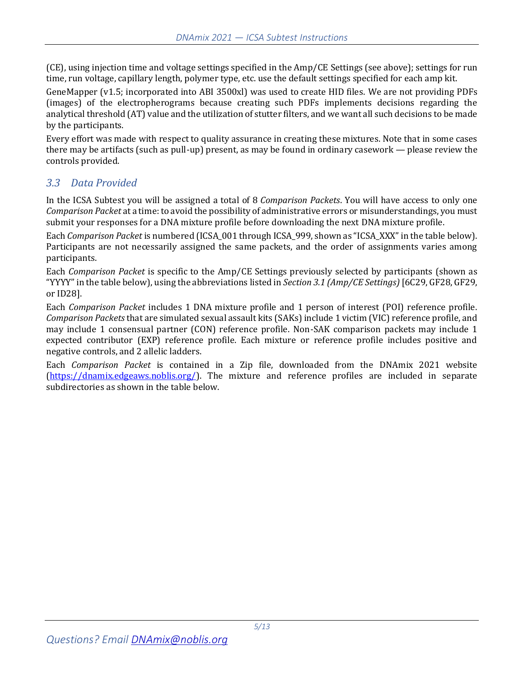(CE), using injection time and voltage settings specified in the Amp/CE Settings (see above); settings for run time, run voltage, capillary length, polymer type, etc. use the default settings specified for each amp kit.

GeneMapper (v1.5; incorporated into ABI 3500xl) was used to create HID files. We are not providing PDFs (images) of the electropherograms because creating such PDFs implements decisions regarding the analytical threshold (AT) value and the utilization of stutter filters, and we want all such decisions to be made by the participants.

Every effort was made with respect to quality assurance in creating these mixtures. Note that in some cases there may be artifacts (such as pull-up) present, as may be found in ordinary casework — please review the controls provided.

### <span id="page-4-0"></span>*3.3 Data Provided*

In the ICSA Subtest you will be assigned a total of 8 *Comparison Packets*. You will have access to only one *Comparison Packet* at a time: to avoid the possibility of administrative errors or misunderstandings, you must submit your responses for a DNA mixture profile before downloading the next DNA mixture profile.

Each *Comparison Packet* is numbered (ICSA\_001 through ICSA\_999, shown as "ICSA\_XXX" in the table below). Participants are not necessarily assigned the same packets, and the order of assignments varies among participants.

Each *Comparison Packet* is specific to the Amp/CE Settings previously selected by participants (shown as "YYYY" in the table below), using the abbreviations listed in *Sectio[n 3.1](#page-3-0) [\(Amp/CE Settings\)](#page-3-0)*[6C29, GF28, GF29, or ID28].

Each *Comparison Packet* includes 1 DNA mixture profile and 1 person of interest (POI) reference profile. *Comparison Packets* that are simulated sexual assault kits (SAKs) include 1 victim (VIC) reference profile, and may include 1 consensual partner (CON) reference profile. Non-SAK comparison packets may include 1 expected contributor (EXP) reference profile. Each mixture or reference profile includes positive and negative controls, and 2 allelic ladders.

Each *Comparison Packet* is contained in a Zip file, downloaded from the DNAmix 2021 website [\(https://dnamix.edgeaws.noblis.org/\)](https://dnamix.edgeaws.noblis.org/). The mixture and reference profiles are included in separate subdirectories as shown in the table below.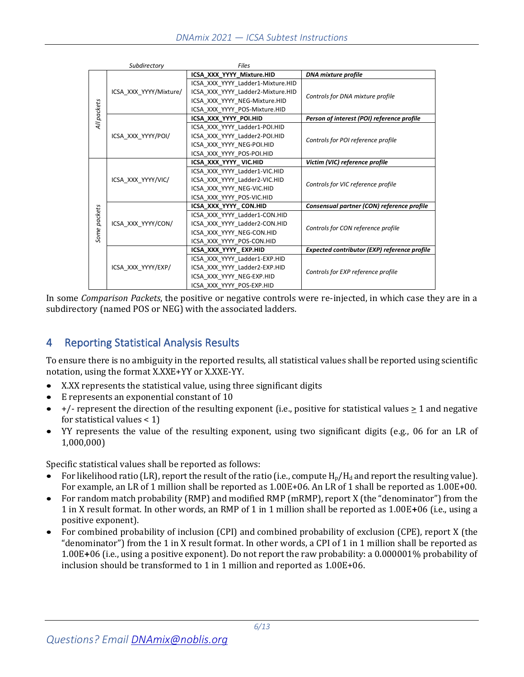|              | Subdirectory                                 | <b>Files</b>                      |                                                     |
|--------------|----------------------------------------------|-----------------------------------|-----------------------------------------------------|
| All packets  |                                              | ICSA XXX YYYY Mixture.HID         | DNA mixture profile                                 |
|              | ICSA XXX YYYY/Mixture/<br>ICSA XXX YYYY/POI/ | ICSA XXX YYYY Ladder1-Mixture.HID |                                                     |
|              |                                              | ICSA XXX YYYY Ladder2-Mixture.HID | Controls for DNA mixture profile                    |
|              |                                              | ICSA XXX YYYY NEG-Mixture.HID     |                                                     |
|              |                                              | ICSA XXX YYYY POS-Mixture.HID     |                                                     |
|              |                                              | ICSA XXX YYYY POI.HID             | Person of interest (POI) reference profile          |
|              |                                              | ICSA XXX YYYY Ladder1-POI.HID     |                                                     |
|              |                                              | ICSA XXX YYYY Ladder2-POI.HID     |                                                     |
|              |                                              | ICSA XXX YYYY NEG-POI.HID         | Controls for POI reference profile                  |
|              |                                              | ICSA XXX YYYY POS-POI.HID         |                                                     |
|              | ICSA XXX YYYY/VIC/                           | ICSA XXX YYYY VIC.HID             | Victim (VIC) reference profile                      |
|              |                                              | ICSA XXX YYYY Ladder1-VIC.HID     | Controls for VIC reference profile                  |
|              |                                              | ICSA XXX YYYY Ladder2-VIC.HID     |                                                     |
|              |                                              | ICSA XXX YYYY NEG-VIC.HID         |                                                     |
|              |                                              | ICSA XXX YYYY POS-VIC.HID         |                                                     |
|              |                                              | ICSA XXX YYYY CON.HID             | Consensual partner (CON) reference profile          |
|              | ICSA XXX YYYY/CON/                           | ICSA XXX YYYY Ladder1-CON.HID     |                                                     |
|              |                                              | ICSA XXX YYYY Ladder2-CON.HID     | Controls for CON reference profile                  |
| Some packets |                                              | ICSA XXX YYYY NEG-CON.HID         |                                                     |
|              |                                              | ICSA XXX YYYY POS-CON.HID         |                                                     |
|              | ICSA XXX YYYY/EXP/                           | ICSA XXX YYYY EXP.HID             | <b>Expected contributor (EXP) reference profile</b> |
|              |                                              | ICSA XXX YYYY Ladder1-EXP.HID     |                                                     |
|              |                                              | ICSA XXX YYYY Ladder2-EXP.HID     | Controls for EXP reference profile                  |
|              |                                              | ICSA XXX YYYY NEG-EXP.HID         |                                                     |
|              |                                              | ICSA XXX YYYY POS-EXP.HID         |                                                     |

In some *Comparison Packets*, the positive or negative controls were re-injected, in which case they are in a subdirectory (named POS or NEG) with the associated ladders.

# <span id="page-5-0"></span>4 Reporting Statistical Analysis Results

To ensure there is no ambiguity in the reported results, all statistical values shall be reported using scientific notation, using the format X.XXE+YY or X.XXE-YY.

- X.XX represents the statistical value, using three significant digits
- E represents an exponential constant of 10
- $+/-$  represent the direction of the resulting exponent (i.e., positive for statistical values  $\geq 1$  and negative for statistical values  $< 1$ )
- YY represents the value of the resulting exponent, using two significant digits (e.g., 06 for an LR of 1,000,000)

Specific statistical values shall be reported as follows:

- For likelihood ratio (LR), report the result of the ratio (i.e., compute  $H_p/H_d$  and report the resulting value). For example, an LR of 1 million shall be reported as 1.00E+06. An LR of 1 shall be reported as 1.00E+00.
- For random match probability (RMP) and modified RMP (mRMP), report X (the "denominator") from the 1 in X result format. In other words, an RMP of 1 in 1 million shall be reported as 1.00E**+**06 (i.e., using a positive exponent).
- For combined probability of inclusion (CPI) and combined probability of exclusion (CPE), report X (the "denominator") from the 1 in X result format. In other words, a CPI of 1 in 1 million shall be reported as 1.00E**+**06 (i.e., using a positive exponent). Do not report the raw probability: a 0.000001% probability of inclusion should be transformed to 1 in 1 million and reported as 1.00E+06.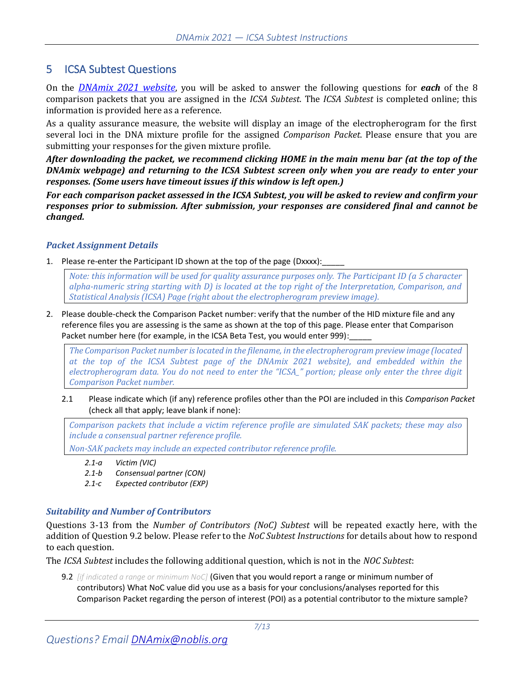### <span id="page-6-0"></span>5 ICSA Subtest Questions

On the *[DNAmix 2021 website](https://dnamix.edgeaws.noblis.org/)*, you will be asked to answer the following questions for *each* of the 8 comparison packets that you are assigned in the *ICSA Subtest*. The *ICSA Subtest* is completed online; this information is provided here as a reference.

As a quality assurance measure, the website will display an image of the electropherogram for the first several loci in the DNA mixture profile for the assigned *Comparison Packet*. Please ensure that you are submitting your responses for the given mixture profile.

*After downloading the packet, we recommend clicking HOME in the main menu bar (at the top of the DNAmix webpage) and returning to the ICSA Subtest screen only when you are ready to enter your responses. (Some users have timeout issues if this window is left open.)*

*For each comparison packet assessed in the ICSA Subtest, you will be asked to review and confirm your responses prior to submission. After submission, your responses are considered final and cannot be changed.*

#### *Packet Assignment Details*

1. Please re-enter the Participant ID shown at the top of the page (Dxxxx):

*Note: this information will be used for quality assurance purposes only. The Participant ID (a 5 character alpha-numeric string starting with D) is located at the top right of the Interpretation, Comparison, and Statistical Analysis (ICSA) Page (right about the electropherogram preview image).*

2. Please double-check the Comparison Packet number: verify that the number of the HID mixture file and any reference files you are assessing is the same as shown at the top of this page. Please enter that Comparison Packet number here (for example, in the ICSA Beta Test, you would enter 999):

*The Comparison Packet number is located in the filename, in the electropherogram preview image (located at the top of the ICSA Subtest page of the DNAmix 2021 website), and embedded within the electropherogram data. You do not need to enter the "ICSA\_" portion; please only enter the three digit Comparison Packet number.*

2.1 Please indicate which (if any) reference profiles other than the POI are included in this *Comparison Packet* (check all that apply; leave blank if none):

*Comparison packets that include a victim reference profile are simulated SAK packets; these may also include a consensual partner reference profile.* 

<span id="page-6-2"></span><span id="page-6-1"></span>*Non-SAK packets may include an expected contributor reference profile.*

- *2.1-a Victim (VIC)*
- *2.1-b Consensual partner (CON)*
- *2.1-c Expected contributor (EXP)*

#### <span id="page-6-3"></span>*Suitability and Number of Contributors*

Questions 3-13 from the *Number of Contributors (NoC) Subtest* will be repeated exactly here, with the addition of Question 9.2 below. Please refer to the *NoC Subtest Instructions* for details about how to respond to each question.

The *ICSA Subtest* includes the following additional question, which is not in the *NOC Subtest*:

9.2 *[if indicated a range or minimum NoC]* (Given that you would report a range or minimum number of contributors) What NoC value did you use as a basis for your conclusions/analyses reported for this Comparison Packet regarding the person of interest (POI) as a potential contributor to the mixture sample?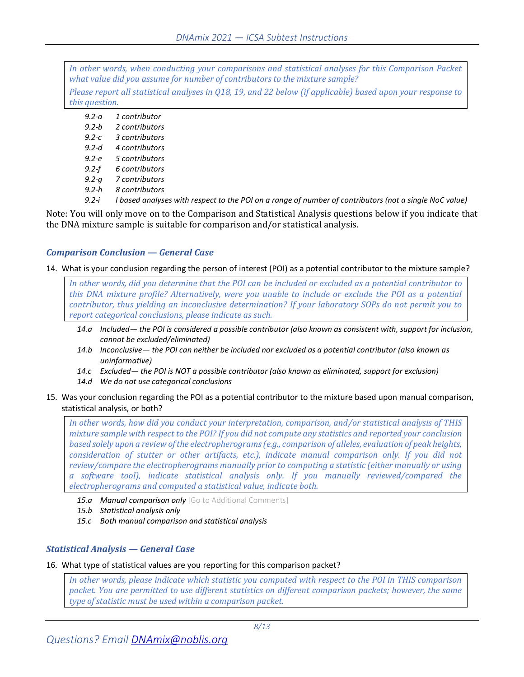*In other words, when conducting your comparisons and statistical analyses for this Comparison Packet what value did you assume for number of contributors to the mixture sample? Please report all statistical analyses in [Q18,](#page-8-0) [19,](#page-9-0) an[d 22](#page-10-0) below (if applicable) based upon your response to this question.*

| $9.2 - a$ | 1 contributor                                                                                          |
|-----------|--------------------------------------------------------------------------------------------------------|
| $9.2 - b$ | 2 contributors                                                                                         |
| $9.2 - c$ | 3 contributors                                                                                         |
| $9.2-d$   | 4 contributors                                                                                         |
| $9.2 - e$ | 5 contributors                                                                                         |
| $9.2-f$   | 6 contributors                                                                                         |
| $9.2 - a$ | 7 contributors                                                                                         |
| $9.2-h$   | 8 contributors                                                                                         |
| $9.2 - i$ | I based analyses with respect to the POI on a range of number of contributors (not a single NoC value) |
|           |                                                                                                        |

Note: You will only move on to the Comparison and Statistical Analysis questions below if you indicate that the DNA mixture sample is suitable for comparison and/or statistical analysis.

#### *Comparison Conclusion — General Case*

14. What is your conclusion regarding the person of interest (POI) as a potential contributor to the mixture sample?

*In other words, did you determine that the POI can be included or excluded as a potential contributor to this DNA mixture profile? Alternatively, were you unable to include or exclude the POI as a potential contributor, thus yielding an inconclusive determination? If your laboratory SOPs do not permit you to report categorical conclusions, please indicate as such.*

- *14.a Included— the POI is considered a possible contributor (also known as consistent with, support for inclusion, cannot be excluded/eliminated)*
- *14.b Inconclusive— the POI can neither be included nor excluded as a potential contributor (also known as uninformative)*
- *14.c Excluded— the POI is NOT a possible contributor (also known as eliminated, support for exclusion)*
- *14.d We do not use categorical conclusions*
- 15. Was your conclusion regarding the POI as a potential contributor to the mixture based upon manual comparison, statistical analysis, or both?

*In other words, how did you conduct your interpretation, comparison, and/or statistical analysis of THIS mixture sample with respect to the POI? If you did not compute any statistics and reported your conclusion based solely upon a review of the electropherograms (e.g., comparison of alleles, evaluation of peak heights, consideration of stutter or other artifacts, etc.), indicate manual comparison only. If you did not review/compare the electropherograms manually prior to computing a statistic (either manually or using a software tool), indicate statistical analysis only. If you manually reviewed/compared the electropherograms and computed a statistical value, indicate both.*

- *15.a Manual comparison only* [Go to Additional Comments]
- *15.b Statistical analysis only*
- *15.c Both manual comparison and statistical analysis*

#### *Statistical Analysis — General Case*

<span id="page-7-0"></span>16. What type of statistical values are you reporting for this comparison packet?

*In other words, please indicate which statistic you computed with respect to the POI in THIS comparison packet. You are permitted to use different statistics on different comparison packets; however, the same type of statistic must be used within a comparison packet.*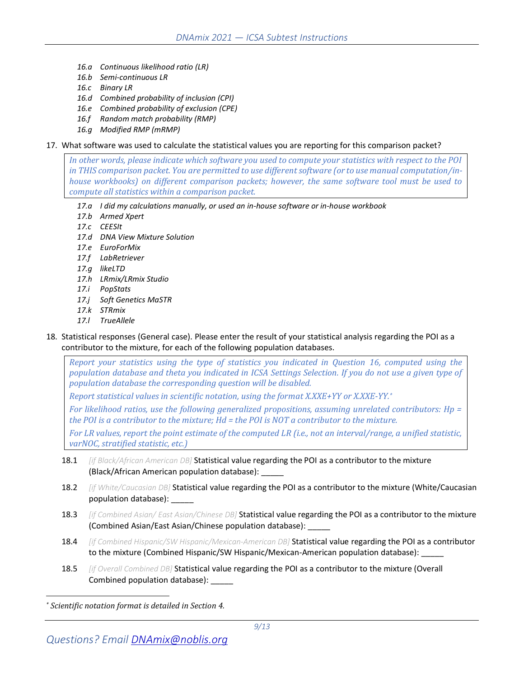- *16.a Continuous likelihood ratio (LR)*
- *16.b Semi-continuous LR*
- *16.c Binary LR*
- *16.d Combined probability of inclusion (CPI)*
- *16.e Combined probability of exclusion (CPE)*
- *16.f Random match probability (RMP)*
- *16.g Modified RMP (mRMP)*

#### 17. What software was used to calculate the statistical values you are reporting for this comparison packet?

*In other words, please indicate which software you used to compute your statistics with respect to the POI in THIS comparison packet. You are permitted to use different software (or to use manual computation/inhouse workbooks) on different comparison packets; however, the same software tool must be used to compute all statistics within a comparison packet.*

- *17.a I did my calculations manually, or used an in-house software or in-house workbook*
- *17.b Armed Xpert*
- *17.c CEESIt*
- *17.d DNA View Mixture Solution*
- *17.e EuroForMix*
- *17.f LabRetriever*
- *17.g likeLTD*
- *17.h LRmix/LRmix Studio*
- *17.i PopStats*
- *17.j Soft Genetics MaSTR*
- *17.k STRmix*
- *17.l TrueAllele*
- <span id="page-8-0"></span>18. Statistical responses (General case). Please enter the result of your statistical analysis regarding the POI as a contributor to the mixture, for each of the following population databases.

*Report your statistics using the type of statistics you indicated in Question [16,](#page-7-0) computed using the population database and theta you indicated in ICSA Settings Selection. If you do not use a given type of population database the corresponding question will be disabled.*

*Report statistical values in scientific notation, using the format X.XXE+YY or X.XXE-YY. \**

*For likelihood ratios, use the following generalized propositions, assuming unrelated contributors: Hp = the POI is a contributor to the mixture; Hd = the POI is NOT a contributor to the mixture.*

*For LR values, report the point estimate of the computed LR (i.e., not an interval/range, a unified statistic, varNOC, stratified statistic, etc.)*

- 18.1 *[if Black/African American DB]* Statistical value regarding the POI as a contributor to the mixture (Black/African American population database): \_\_\_\_\_
- 18.2 *[if White/Caucasian DB]* Statistical value regarding the POI as a contributor to the mixture (White/Caucasian population database): \_\_\_\_\_
- 18.3 *[if Combined Asian/ East Asian/Chinese DB]* Statistical value regarding the POI as a contributor to the mixture (Combined Asian/East Asian/Chinese population database): \_\_\_\_\_
- 18.4 *[if Combined Hispanic/SW Hispanic/Mexican-American DB]* Statistical value regarding the POI as a contributor to the mixture (Combined Hispanic/SW Hispanic/Mexican-American population database):
- 18.5 *[if Overall Combined DB]* Statistical value regarding the POI as a contributor to the mixture (Overall Combined population database): \_\_\_\_\_

*<sup>\*</sup> Scientific notation format is detailed in Section [4.](#page-5-0)*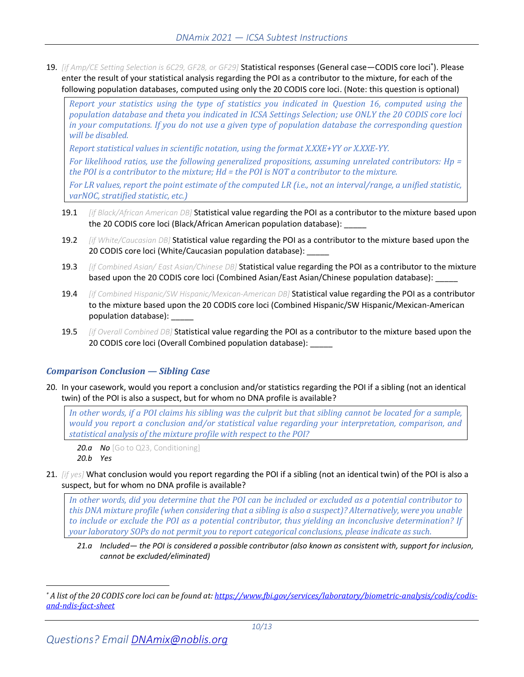<span id="page-9-0"></span>19. *[if Amp/CE Setting Selection is 6C29, GF28, or GF29]* Statistical responses (General case—CODIS core loci\* ). Please enter the result of your statistical analysis regarding the POI as a contributor to the mixture, for each of the following population databases, computed using only the 20 CODIS core loci. (Note: this question is optional)

*Report your statistics using the type of statistics you indicated in Question [16,](#page-7-0) computed using the population database and theta you indicated in ICSA Settings Selection; use ONLY the 20 CODIS core loci in your computations. If you do not use a given type of population database the corresponding question will be disabled.*

*Report statistical values in scientific notation, using the format X.XXE+YY or X.XXE-YY.*

*For likelihood ratios, use the following generalized propositions, assuming unrelated contributors: Hp = the POI is a contributor to the mixture; Hd = the POI is NOT a contributor to the mixture.*

*For LR values, report the point estimate of the computed LR (i.e., not an interval/range, a unified statistic, varNOC, stratified statistic, etc.)*

- 19.1 *[if Black/African American DB]* Statistical value regarding the POI as a contributor to the mixture based upon the 20 CODIS core loci (Black/African American population database):
- 19.2 *[if White/Caucasian DB]* Statistical value regarding the POI as a contributor to the mixture based upon the 20 CODIS core loci (White/Caucasian population database):
- 19.3 *[if Combined Asian/ East Asian/Chinese DB]* Statistical value regarding the POI as a contributor to the mixture based upon the 20 CODIS core loci (Combined Asian/East Asian/Chinese population database):
- 19.4 *[if Combined Hispanic/SW Hispanic/Mexican-American DB]* Statistical value regarding the POI as a contributor to the mixture based upon the 20 CODIS core loci (Combined Hispanic/SW Hispanic/Mexican-American population database):
- 19.5 *[if Overall Combined DB]* Statistical value regarding the POI as a contributor to the mixture based upon the 20 CODIS core loci (Overall Combined population database):

### *Comparison Conclusion — Sibling Case*

20. In your casework, would you report a conclusion and/or statistics regarding the POI if a sibling (not an identical twin) of the POI is also a suspect, but for whom no DNA profile is available?

*In other words, if a POI claims his sibling was the culprit but that sibling cannot be located for a sample, would you report a conclusion and/or statistical value regarding your interpretation, comparison, and statistical analysis of the mixture profile with respect to the POI?*

*20.a No* [Go to [Q23,](#page-10-1) Conditioning] *20.b Yes*

21. *[if yes]* What conclusion would you report regarding the POI if a sibling (not an identical twin) of the POI is also a suspect, but for whom no DNA profile is available?

*In other words, did you determine that the POI can be included or excluded as a potential contributor to this DNA mixture profile (when considering that a sibling is also a suspect)? Alternatively, were you unable to include or exclude the POI as a potential contributor, thus yielding an inconclusive determination? If your laboratory SOPs do not permit you to report categorical conclusions, please indicate as such.*

*21.a Included— the POI is considered a possible contributor (also known as consistent with, support for inclusion, cannot be excluded/eliminated)*

*<sup>\*</sup> A list of the 20 CODIS core loci can be found at[: https://www.fbi.gov/services/laboratory/biometric-analysis/codis/codis](https://www.fbi.gov/services/laboratory/biometric-analysis/codis/codis-and-ndis-fact-sheet)[and-ndis-fact-sheet](https://www.fbi.gov/services/laboratory/biometric-analysis/codis/codis-and-ndis-fact-sheet)*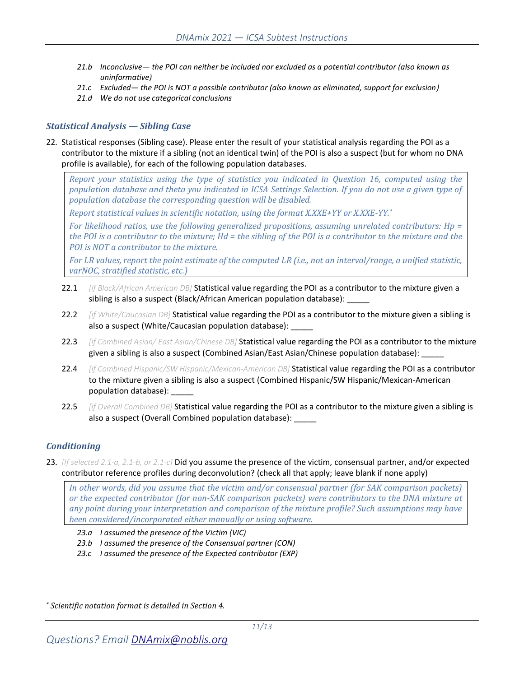- *21.b Inconclusive— the POI can neither be included nor excluded as a potential contributor (also known as uninformative)*
- *21.c Excluded— the POI is NOT a possible contributor (also known as eliminated, support for exclusion)*
- *21.d We do not use categorical conclusions*

#### *Statistical Analysis — Sibling Case*

<span id="page-10-0"></span>22. Statistical responses (Sibling case). Please enter the result of your statistical analysis regarding the POI as a contributor to the mixture if a sibling (not an identical twin) of the POI is also a suspect (but for whom no DNA profile is available), for each of the following population databases.

*Report your statistics using the type of statistics you indicated in Question [16,](#page-7-0) computed using the population database and theta you indicated in ICSA Settings Selection. If you do not use a given type of population database the corresponding question will be disabled.*

*Report statistical values in scientific notation, using the format X.XXE+YY or X.XXE-YY. \**

*For likelihood ratios, use the following generalized propositions, assuming unrelated contributors: Hp = the POI is a contributor to the mixture; Hd = the sibling of the POI is a contributor to the mixture and the POI is NOT a contributor to the mixture.*

*For LR values, report the point estimate of the computed LR (i.e., not an interval/range, a unified statistic, varNOC, stratified statistic, etc.)*

- 22.1 *[if Black/African American DB]* Statistical value regarding the POI as a contributor to the mixture given a sibling is also a suspect (Black/African American population database):
- 22.2 *[if White/Caucasian DB]* Statistical value regarding the POI as a contributor to the mixture given a sibling is also a suspect (White/Caucasian population database):
- 22.3 *[if Combined Asian/ East Asian/Chinese DB]* Statistical value regarding the POI as a contributor to the mixture given a sibling is also a suspect (Combined Asian/East Asian/Chinese population database):
- 22.4 *[if Combined Hispanic/SW Hispanic/Mexican-American DB]* Statistical value regarding the POI as a contributor to the mixture given a sibling is also a suspect (Combined Hispanic/SW Hispanic/Mexican-American population database): \_\_\_\_\_
- 22.5 *[if Overall Combined DB]* Statistical value regarding the POI as a contributor to the mixture given a sibling is also a suspect (Overall Combined population database): \_\_\_\_\_

### *Conditioning*

<span id="page-10-1"></span>23. *[If selecte[d 2.1-a,](#page-6-1) [2.1-b,](#page-6-2) or [2.1-c\]](#page-6-3)* Did you assume the presence of the victim, consensual partner, and/or expected contributor reference profiles during deconvolution? (check all that apply; leave blank if none apply)

*In other words, did you assume that the victim and/or consensual partner (for SAK comparison packets) or the expected contributor (for non-SAK comparison packets) were contributors to the DNA mixture at any point during your interpretation and comparison of the mixture profile? Such assumptions may have been considered/incorporated either manually or using software.*

- *23.a I assumed the presence of the Victim (VIC)*
- *23.b I assumed the presence of the Consensual partner (CON)*
- *23.c I assumed the presence of the Expected contributor (EXP)*

*<sup>\*</sup> Scientific notation format is detailed in Sectio[n 4.](#page-5-0)*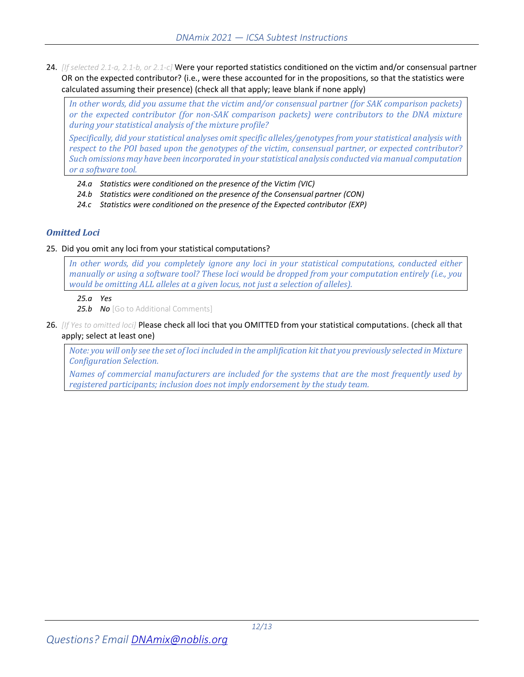24. *[If selecte[d 2.1-a,](#page-6-1) [2.1-b,](#page-6-2) or [2.1-c\]](#page-6-3)* Were your reported statistics conditioned on the victim and/or consensual partner OR on the expected contributor? (i.e., were these accounted for in the propositions, so that the statistics were calculated assuming their presence) (check all that apply; leave blank if none apply)

*In other words, did you assume that the victim and/or consensual partner (for SAK comparison packets) or the expected contributor (for non-SAK comparison packets) were contributors to the DNA mixture during your statistical analysis of the mixture profile?* 

*Specifically, did your statistical analyses omit specific alleles/genotypes from your statistical analysis with respect to the POI based upon the genotypes of the victim, consensual partner, or expected contributor? Such omissions may have been incorporated in your statistical analysis conducted via manual computation or a software tool.*

- *24.a Statistics were conditioned on the presence of the Victim (VIC)*
- *24.b Statistics were conditioned on the presence of the Consensual partner (CON)*
- *24.c Statistics were conditioned on the presence of the Expected contributor (EXP)*

#### *Omitted Loci*

#### 25. Did you omit any loci from your statistical computations?

*In other words, did you completely ignore any loci in your statistical computations, conducted either manually or using a software tool? These loci would be dropped from your computation entirely (i.e., you would be omitting ALL alleles at a given locus, not just a selection of alleles).*

#### *25.a Yes*

25.b **No** [Go to Additional Comments]

26. *[If Yes to omitted loci]* Please check all loci that you OMITTED from your statistical computations. (check all that apply; select at least one)

*Note: you will only see the set of loci included in the amplification kit that you previously selected in Mixture Configuration Selection.* 

*Names of commercial manufacturers are included for the systems that are the most frequently used by registered participants; inclusion does not imply endorsement by the study team.*